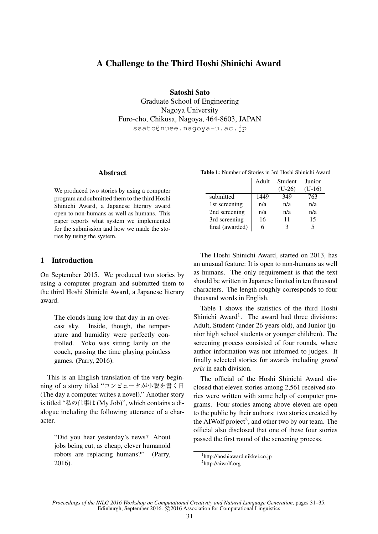# A Challenge to the Third Hoshi Shinichi Award

Satoshi Sato Graduate School of Engineering Nagoya University Furo-cho, Chikusa, Nagoya, 464-8603, JAPAN ssato@nuee.nagoya-u.ac.jp

### **Abstract**

We produced two stories by using a computer program and submitted them to the third Hoshi Shinichi Award, a Japanese literary award open to non-humans as well as humans. This paper reports what system we implemented for the submission and how we made the stories by using the system.

## 1 Introduction

On September 2015. We produced two stories by using a computer program and submitted them to the third Hoshi Shinichi Award, a Japanese literary award.

The clouds hung low that day in an overcast sky. Inside, though, the temperature and humidity were perfectly controlled. Yoko was sitting lazily on the couch, passing the time playing pointless games. (Parry, 2016).

This is an English translation of the very beginning of a story titled "コンピュータが小説を書く日 (The day a computer writes a novel)." Another story is titled "私の仕事は (My Job)", which contains a dialogue including the following utterance of a character.

"Did you hear yesterday's news? About jobs being cut, as cheap, clever humanoid robots are replacing humans?" (Parry, 2016).

|                 | Adult | Student  | Junior   |
|-----------------|-------|----------|----------|
|                 |       | $(U-26)$ | $(U-16)$ |
| submitted       | 1449  | 349      | 763      |
| 1st screening   | n/a   | n/a      | n/a      |
| 2nd screening   | n/a   | n/a      | n/a      |
| 3rd screening   | 16    | 11       | 15       |
| final (awarded) | 6     |          |          |

The Hoshi Shinichi Award, started on 2013, has an unusual feature: It is open to non-humans as well as humans. The only requirement is that the text should be written in Japanese limited in ten thousand characters. The length roughly corresponds to four thousand words in English.

Table 1 shows the statistics of the third Hoshi Shinichi Award<sup>1</sup>. The award had three divisions: Adult, Student (under 26 years old), and Junior (junior high school students or younger children). The screening process consisted of four rounds, where author information was not informed to judges. It finally selected stories for awards including *grand prix* in each division.

The official of the Hoshi Shinichi Award disclosed that eleven stories among 2,561 received stories were written with some help of computer programs. Four stories among above eleven are open to the public by their authors: two stories created by the AIWolf project<sup>2</sup>, and other two by our team. The official also disclosed that one of these four stories passed the first round of the screening process.

*Proceedings of the INLG 2016 Workshop on Computational Creativity and Natural Language Generation*, pages 31–35, Edinburgh, September 2016. C 2016 Association for Computational Linguistics

<sup>1</sup> http://hoshiaward.nikkei.co.jp

<sup>2</sup> http://aiwolf.org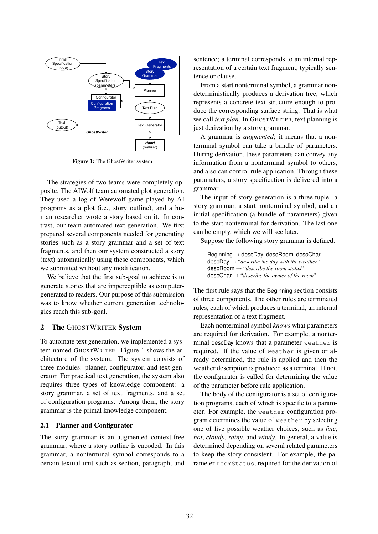

Figure 1: The GhostWriter system

The strategies of two teams were completely opposite. The AIWolf team automated plot generation. They used a log of Werewolf game played by AI programs as a plot (i.e., story outline), and a human researcher wrote a story based on it. In contrast, our team automated text generation. We first prepared several components needed for generating stories such as a story grammar and a set of text fragments, and then our system constructed a story (text) automatically using these components, which we submitted without any modification.

We believe that the first sub-goal to achieve is to generate stories that are imperceptible as computergenerated to readers. Our purpose of this submission was to know whether current generation technologies reach this sub-goal.

## 2 The GHOSTWRITER System

To automate text generation, we implemented a system named GHOSTWRITER. Figure 1 shows the architecture of the system. The system consists of three modules: planner, configurator, and text generator. For practical text generation, the system also requires three types of knowledge component: a story grammar, a set of text fragments, and a set of configuration programs. Among them, the story grammar is the primal knowledge component.

### 2.1 Planner and Configurator

The story grammar is an augmented context-free grammar, where a story outline is encoded. In this grammar, a nonterminal symbol corresponds to a certain textual unit such as section, paragraph, and sentence; a terminal corresponds to an internal representation of a certain text fragment, typically sentence or clause.

From a start nonterminal symbol, a grammar nondeterministically produces a derivation tree, which represents a concrete text structure enough to produce the corresponding surface string. That is what we call *text plan*. In GHOSTWRITER, text planning is just derivation by a story grammar.

A grammar is *augmented*; it means that a nonterminal symbol can take a bundle of parameters. During derivation, these parameters can convey any information from a nonterminal symbol to others, and also can control rule application. Through these parameters, a story specification is delivered into a grammar.

The input of story generation is a three-tuple: a story grammar, a start nonterminal symbol, and an initial specification (a bundle of parameters) given to the start nonterminal for derivation. The last one can be empty, which we will see later.

Suppose the following story grammar is defined.

Beginning → descDay descRoom descChar descDay → "*describe the day with the weather*" descRoom → "*describe the room status*" descChar → "*describe the owner of the room*"

The first rule says that the Beginning section consists of three components. The other rules are terminated rules, each of which produces a terminal, an internal representation of a text fragment.

Each nonterminal symbol *knows* what parameters are required for derivation. For example, a nonterminal descDay knows that a parameter weather is required. If the value of weather is given or already determined, the rule is applied and then the weather description is produced as a terminal. If not, the configurator is called for determining the value of the parameter before rule application.

The body of the configurator is a set of configuration programs, each of which is specific to a parameter. For example, the weather configuration program determines the value of weather by selecting one of five possible weather choices, such as *fine*, *hot*, *cloudy*, *rainy*, and *windy*. In general, a value is determined depending on several related parameters to keep the story consistent. For example, the parameter roomStatus, required for the derivation of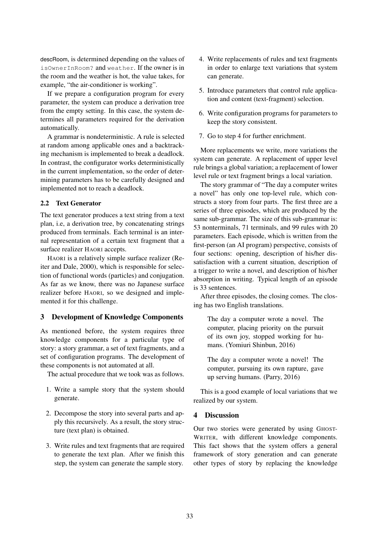descRoom, is determined depending on the values of isOwnerInRoom? and weather. If the owner is in the room and the weather is hot, the value takes, for example, "the air-conditioner is working".

If we prepare a configuration program for every parameter, the system can produce a derivation tree from the empty setting. In this case, the system determines all parameters required for the derivation automatically.

A grammar is nondeterministic. A rule is selected at random among applicable ones and a backtracking mechanism is implemented to break a deadlock. In contrast, the configurator works deterministically in the current implementation, so the order of determining parameters has to be carefully designed and implemented not to reach a deadlock.

#### 2.2 Text Generator

The text generator produces a text string from a text plan, i.e, a derivation tree, by concatenating strings produced from terminals. Each terminal is an internal representation of a certain text fragment that a surface realizer HAORI accepts.

HAORI is a relatively simple surface realizer (Reiter and Dale, 2000), which is responsible for selection of functional words (particles) and conjugation. As far as we know, there was no Japanese surface realizer before HAORI, so we designed and implemented it for this challenge.

## 3 Development of Knowledge Components

As mentioned before, the system requires three knowledge components for a particular type of story: a story grammar, a set of text fragments, and a set of configuration programs. The development of these components is not automated at all.

The actual procedure that we took was as follows.

- 1. Write a sample story that the system should generate.
- 2. Decompose the story into several parts and apply this recursively. As a result, the story structure (text plan) is obtained.
- 3. Write rules and text fragments that are required to generate the text plan. After we finish this step, the system can generate the sample story.
- 4. Write replacements of rules and text fragments in order to enlarge text variations that system can generate.
- 5. Introduce parameters that control rule application and content (text-fragment) selection.
- 6. Write configuration programs for parameters to keep the story consistent.
- 7. Go to step 4 for further enrichment.

More replacements we write, more variations the system can generate. A replacement of upper level rule brings a global variation; a replacement of lower level rule or text fragment brings a local variation.

The story grammar of "The day a computer writes a novel" has only one top-level rule, which constructs a story from four parts. The first three are a series of three episodes, which are produced by the same sub-grammar. The size of this sub-grammar is: 53 nonterminals, 71 terminals, and 99 rules with 20 parameters. Each episode, which is written from the first-person (an AI program) perspective, consists of four sections: opening, description of his/her dissatisfaction with a current situation, description of a trigger to write a novel, and description of his/her absorption in writing. Typical length of an episode is 33 sentences.

After three episodes, the closing comes. The closing has two English translations.

The day a computer wrote a novel. The computer, placing priority on the pursuit of its own joy, stopped working for humans. (Yomiuri Shinbun, 2016)

The day a computer wrote a novel! The computer, pursuing its own rapture, gave up serving humans. (Parry, 2016)

This is a good example of local variations that we realized by our system.

### 4 Discussion

Our two stories were generated by using GHOST-WRITER, with different knowledge components. This fact shows that the system offers a general framework of story generation and can generate other types of story by replacing the knowledge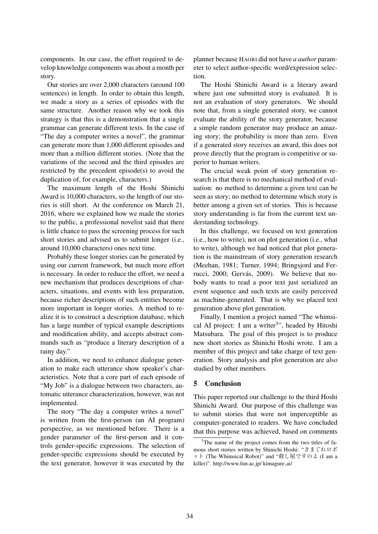components. In our case, the effort required to develop knowledge components was about a month per story.

Our stories are over 2,000 characters (around 100 sentences) in length. In order to obtain this length, we made a story as a series of episodes with the same structure. Another reason why we took this strategy is that this is a demonstration that a single grammar can generate different texts. In the case of "The day a computer writes a novel", the grammar can generate more than 1,000 different episodes and more than a million different stories. (Note that the variations of the second and the third episodes are restricted by the precedent episode(s) to avoid the duplication of, for example, characters.)

The maximum length of the Hoshi Shinichi Award is 10,000 characters, so the length of our stories is still short. At the conference on March 21, 2016, where we explained how we made the stories to the public, a professional novelist said that there is little chance to pass the screening process for such short stories and advised us to submit longer (i.e., around 10,000 characters) ones next time.

Probably these longer stories can be generated by using our current framework, but much more effort is necessary. In order to reduce the effort, we need a new mechanism that produces descriptions of characters, situations, and events with less preparation, because richer descriptions of such entities become more important in longer stories. A method to realize it is to construct a description database, which has a large number of typical example descriptions and modification ability, and accepts abstract commands such as "produce a literary description of a rainy day."

In addition, we need to enhance dialogue generation to make each utterance show speaker's characteristics. Note that a core part of each episode of "My Job" is a dialogue between two characters, automatic utterance characterization, however, was not implemented.

The story "The day a computer writes a novel" is written from the first-person (an AI program) perspective, as we mentioned before. There is a gender parameter of the first-person and it controls gender-specific expressions. The selection of gender-specific expressions should be executed by the text generator, however it was executed by the planner because HAORI did not have *a author* parameter to select author-specific word/expression selection.

The Hoshi Shinichi Award is a literary award where just one submitted story is evaluated. It is not an evaluation of story generators. We should note that, from a single generated story, we cannot evaluate the ability of the story generator, because a simple random generator may produce an amazing story; the probability is more than zero. Even if a generated story receives an award, this does not prove directly that the program is competitive or superior to human writers.

The crucial weak point of story generation research is that there is no mechanical method of evaluation: no method to determine a given text can be seen as story; no method to determine which story is better among a given set of stories. This is because story understanding is far from the current text understanding technology.

In this challenge, we focused on text generation (i.e., how to write), not on plot generation (i.e., what to write), although we had noticed that plot generation is the mainstream of story generation research (Meehan, 1981; Turner, 1994; Bringsjord and Ferrucci, 2000; Gervás, 2009). We believe that nobody wants to read a poor text just serialized an event sequence and such texts are easily perceived as machine-generated. That is why we placed text generation above plot generation.

Finally, I mention a project named "The whimsical AI project: I am a writer<sup>3</sup>", headed by Hitoshi Matsubara. The goal of this project is to produce new short stories as Shinichi Hoshi wrote. I am a member of this project and take charge of text generation. Story analysis and plot generation are also studied by other members.

### 5 Conclusion

This paper reported our challenge to the third Hoshi Shinichi Award. Our purpose of this challenge was to submit stories that were not imperceptible as computer-generated to readers. We have concluded that this purpose was achieved, based on comments

<sup>&</sup>lt;sup>3</sup>The name of the project comes from the two titles of famous short stories written by Shinichi Hoshi: "きまぐれロボ ット (The Whimsical Robot)" and "殺し屋ですのよ (I am a killer)". http://www.fun.ac.jp/ kimagure ai/